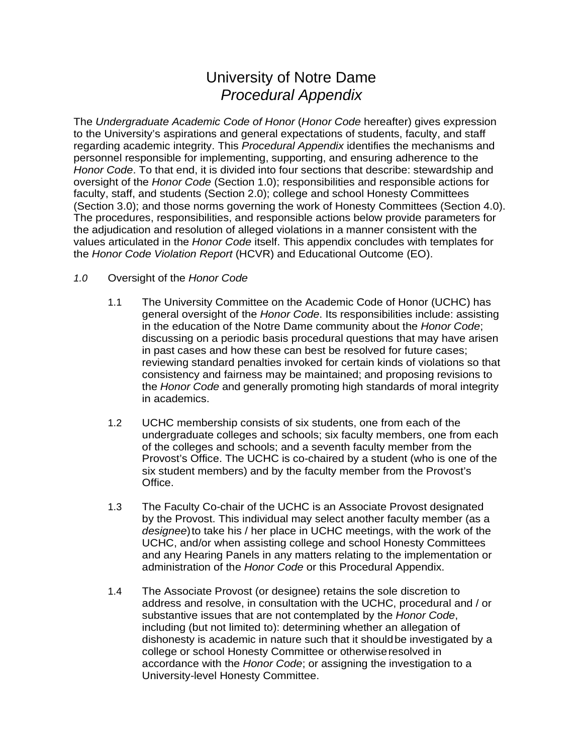# University of Notre Dame *Procedural Appendix*

The *Undergraduate Academic Code of Honor* (*Honor Code* hereafter) gives expression to the University's aspirations and general expectations of students, faculty, and staff regarding academic integrity. This *Procedural Appendix* identifies the mechanisms and personnel responsible for implementing, supporting, and ensuring adherence to the *Honor Code*. To that end, it is divided into four sections that describe: stewardship and oversight of the *Honor Code* (Section 1.0); responsibilities and responsible actions for faculty, staff, and students (Section 2.0); college and school Honesty Committees (Section 3.0); and those norms governing the work of Honesty Committees (Section 4.0). The procedures, responsibilities, and responsible actions below provide parameters for the adjudication and resolution of alleged violations in a manner consistent with the values articulated in the *Honor Code* itself. This appendix concludes with templates for the *Honor Code Violation Report* (HCVR) and Educational Outcome (EO).

## *1.0* Oversight of the *Honor Code*

- 1.1 The University Committee on the Academic Code of Honor (UCHC) has general oversight of the *Honor Code*. Its responsibilities include: assisting in the education of the Notre Dame community about the *Honor Code*; discussing on a periodic basis procedural questions that may have arisen in past cases and how these can best be resolved for future cases; reviewing standard penalties invoked for certain kinds of violations so that consistency and fairness may be maintained; and proposing revisions to the *Honor Code* and generally promoting high standards of moral integrity in academics.
- 1.2 UCHC membership consists of six students, one from each of the undergraduate colleges and schools; six faculty members, one from each of the colleges and schools; and a seventh faculty member from the Provost's Office. The UCHC is co-chaired by a student (who is one of the six student members) and by the faculty member from the Provost's Office.
- 1.3 The Faculty Co-chair of the UCHC is an Associate Provost designated by the Provost. This individual may select another faculty member (as a *designee*) to take his / her place in UCHC meetings, with the work of the UCHC, and/or when assisting college and school Honesty Committees and any Hearing Panels in any matters relating to the implementation or administration of the *Honor Code* or this Procedural Appendix.
- 1.4 The Associate Provost (or designee) retains the sole discretion to address and resolve, in consultation with the UCHC, procedural and / or substantive issues that are not contemplated by the *Honor Code*, including (but not limited to): determining whether an allegation of dishonesty is academic in nature such that it shouldbe investigated by a college or school Honesty Committee or otherwiseresolved in accordance with the *Honor Code*; or assigning the investigation to a University-level Honesty Committee.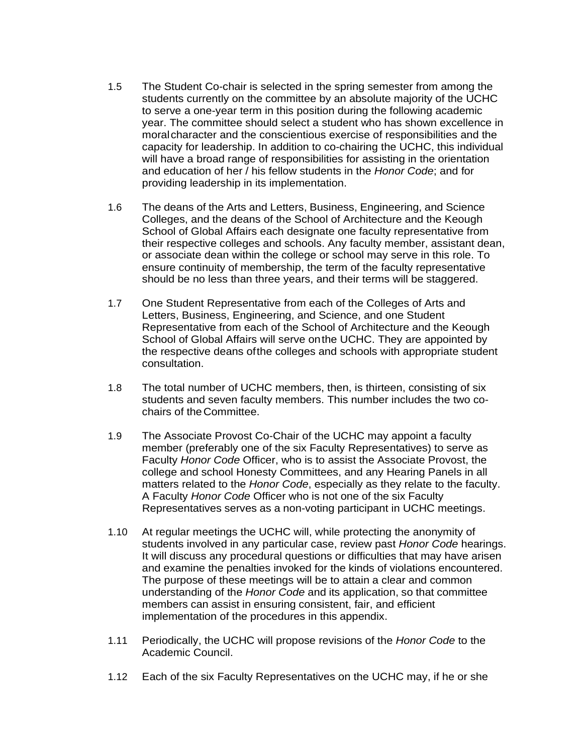- 1.5 The Student Co-chair is selected in the spring semester from among the students currently on the committee by an absolute majority of the UCHC to serve a one-year term in this position during the following academic year. The committee should select a student who has shown excellence in moralcharacter and the conscientious exercise of responsibilities and the capacity for leadership. In addition to co-chairing the UCHC, this individual will have a broad range of responsibilities for assisting in the orientation and education of her / his fellow students in the *Honor Code*; and for providing leadership in its implementation.
- 1.6 The deans of the Arts and Letters, Business, Engineering, and Science Colleges, and the deans of the School of Architecture and the Keough School of Global Affairs each designate one faculty representative from their respective colleges and schools. Any faculty member, assistant dean, or associate dean within the college or school may serve in this role. To ensure continuity of membership, the term of the faculty representative should be no less than three years, and their terms will be staggered.
- 1.7 One Student Representative from each of the Colleges of Arts and Letters, Business, Engineering, and Science, and one Student Representative from each of the School of Architecture and the Keough School of Global Affairs will serve onthe UCHC. They are appointed by the respective deans ofthe colleges and schools with appropriate student consultation.
- 1.8 The total number of UCHC members, then, is thirteen, consisting of six students and seven faculty members. This number includes the two cochairs of theCommittee.
- 1.9 The Associate Provost Co-Chair of the UCHC may appoint a faculty member (preferably one of the six Faculty Representatives) to serve as Faculty *Honor Code* Officer, who is to assist the Associate Provost, the college and school Honesty Committees, and any Hearing Panels in all matters related to the *Honor Code*, especially as they relate to the faculty. A Faculty *Honor Code* Officer who is not one of the six Faculty Representatives serves as a non-voting participant in UCHC meetings.
- 1.10 At regular meetings the UCHC will, while protecting the anonymity of students involved in any particular case, review past *Honor Code* hearings. It will discuss any procedural questions or difficulties that may have arisen and examine the penalties invoked for the kinds of violations encountered. The purpose of these meetings will be to attain a clear and common understanding of the *Honor Code* and its application, so that committee members can assist in ensuring consistent, fair, and efficient implementation of the procedures in this appendix.
- 1.11 Periodically, the UCHC will propose revisions of the *Honor Code* to the Academic Council.
- 1.12 Each of the six Faculty Representatives on the UCHC may, if he or she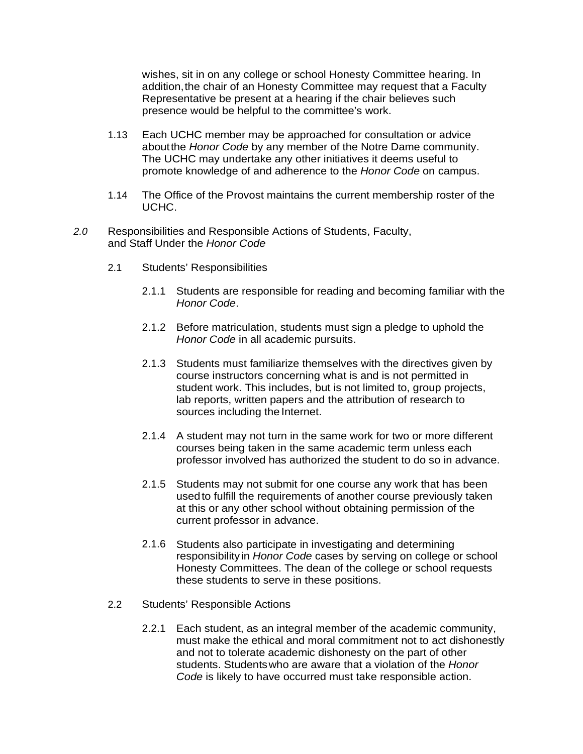wishes, sit in on any college or school Honesty Committee hearing. In addition, the chair of an Honesty Committee may request that a Faculty Representative be present at a hearing if the chair believes such presence would be helpful to the committee's work.

- 1.13 Each UCHC member may be approached for consultation or advice aboutthe *Honor Code* by any member of the Notre Dame community. The UCHC may undertake any other initiatives it deems useful to promote knowledge of and adherence to the *Honor Code* on campus.
- 1.14 The Office of the Provost maintains the current membership roster of the UCHC.
- *2.0* Responsibilities and Responsible Actions of Students, Faculty, and Staff Under the *Honor Code*
	- 2.1 Students' Responsibilities
		- 2.1.1 Students are responsible for reading and becoming familiar with the *Honor Code*.
		- 2.1.2 Before matriculation, students must sign a pledge to uphold the *Honor Code* in all academic pursuits.
		- 2.1.3 Students must familiarize themselves with the directives given by course instructors concerning what is and is not permitted in student work. This includes, but is not limited to, group projects, lab reports, written papers and the attribution of research to sources including the Internet.
		- 2.1.4 A student may not turn in the same work for two or more different courses being taken in the same academic term unless each professor involved has authorized the student to do so in advance.
		- 2.1.5 Students may not submit for one course any work that has been usedto fulfill the requirements of another course previously taken at this or any other school without obtaining permission of the current professor in advance.
		- 2.1.6 Students also participate in investigating and determining responsibilityin *Honor Code* cases by serving on college or school Honesty Committees. The dean of the college or school requests these students to serve in these positions.
	- 2.2 Students' Responsible Actions
		- 2.2.1 Each student, as an integral member of the academic community, must make the ethical and moral commitment not to act dishonestly and not to tolerate academic dishonesty on the part of other students. Studentswho are aware that a violation of the *Honor Code* is likely to have occurred must take responsible action.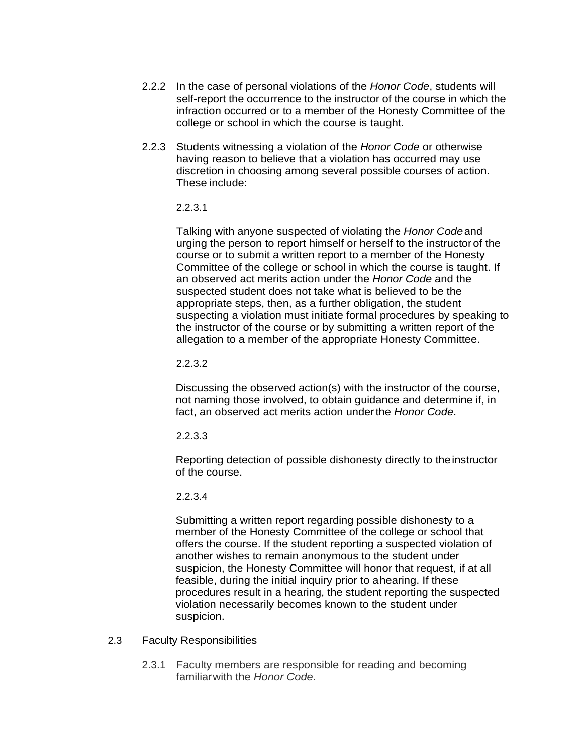- 2.2.2 In the case of personal violations of the *Honor Code*, students will self-report the occurrence to the instructor of the course in which the infraction occurred or to a member of the Honesty Committee of the college or school in which the course is taught.
- 2.2.3 Students witnessing a violation of the *Honor Code* or otherwise having reason to believe that a violation has occurred may use discretion in choosing among several possible courses of action. These include:

2.2.3.1

Talking with anyone suspected of violating the *Honor Code*and urging the person to report himself or herself to the instructorof the course or to submit a written report to a member of the Honesty Committee of the college or school in which the course is taught. If an observed act merits action under the *Honor Code* and the suspected student does not take what is believed to be the appropriate steps, then, as a further obligation, the student suspecting a violation must initiate formal procedures by speaking to the instructor of the course or by submitting a written report of the allegation to a member of the appropriate Honesty Committee.

2.2.3.2

Discussing the observed action(s) with the instructor of the course, not naming those involved, to obtain guidance and determine if, in fact, an observed act merits action underthe *Honor Code*.

2.2.3.3

Reporting detection of possible dishonesty directly to theinstructor of the course.

2.2.3.4

Submitting a written report regarding possible dishonesty to a member of the Honesty Committee of the college or school that offers the course. If the student reporting a suspected violation of another wishes to remain anonymous to the student under suspicion, the Honesty Committee will honor that request, if at all feasible, during the initial inquiry prior to ahearing. If these procedures result in a hearing, the student reporting the suspected violation necessarily becomes known to the student under suspicion.

- 2.3 Faculty Responsibilities
	- 2.3.1 Faculty members are responsible for reading and becoming familiarwith the *Honor Code*.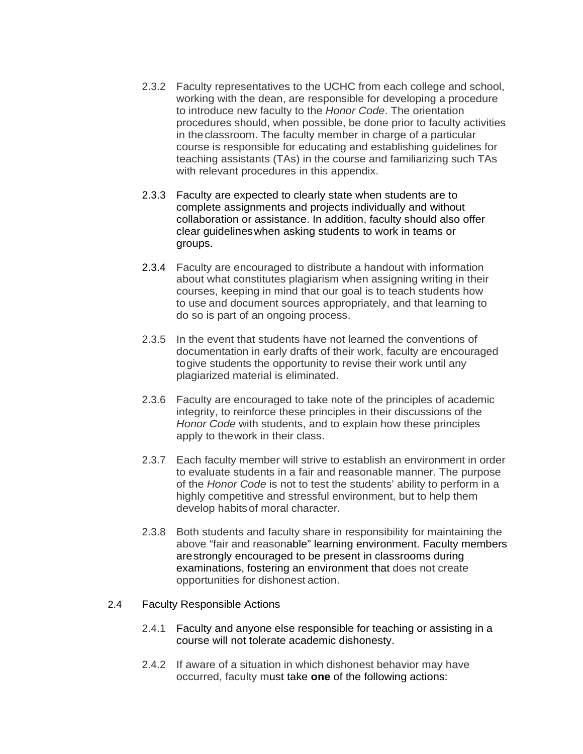- 2.3.2 Faculty representatives to the UCHC from each college and school, working with the dean, are responsible for developing a procedure to introduce new faculty to the *Honor Code*. The orientation procedures should, when possible, be done prior to faculty activities in theclassroom. The faculty member in charge of a particular course is responsible for educating and establishing guidelines for teaching assistants (TAs) in the course and familiarizing such TAs with relevant procedures in this appendix.
- 2.3.3 Faculty are expected to clearly state when students are to complete assignments and projects individually and without collaboration or assistance. In addition, faculty should also offer clear guidelineswhen asking students to work in teams or groups.
- 2.3.4 Faculty are encouraged to distribute a handout with information about what constitutes plagiarism when assigning writing in their courses, keeping in mind that our goal is to teach students how to use and document sources appropriately, and that learning to do so is part of an ongoing process.
- 2.3.5 In the event that students have not learned the conventions of documentation in early drafts of their work, faculty are encouraged togive students the opportunity to revise their work until any plagiarized material is eliminated.
- 2.3.6 Faculty are encouraged to take note of the principles of academic integrity, to reinforce these principles in their discussions of the *Honor Code* with students, and to explain how these principles apply to thework in their class.
- 2.3.7 Each faculty member will strive to establish an environment in order to evaluate students in a fair and reasonable manner. The purpose of the *Honor Code* is not to test the students' ability to perform in a highly competitive and stressful environment, but to help them develop habitsof moral character.
- 2.3.8 Both students and faculty share in responsibility for maintaining the above "fair and reasonable" learning environment. Faculty members arestrongly encouraged to be present in classrooms during examinations, fostering an environment that does not create opportunities for dishonest action.
- 2.4 Faculty Responsible Actions
	- 2.4.1 Faculty and anyone else responsible for teaching or assisting in a course will not tolerate academic dishonesty.
	- 2.4.2 If aware of a situation in which dishonest behavior may have occurred, faculty must take **one** of the following actions: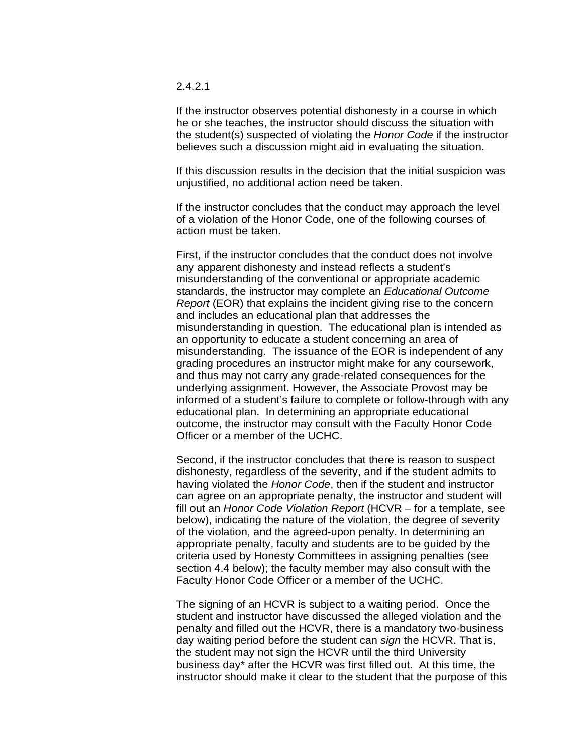$2421$ 

If the instructor observes potential dishonesty in a course in which he or she teaches, the instructor should discuss the situation with the student(s) suspected of violating the *Honor Code* if the instructor believes such a discussion might aid in evaluating the situation.

If this discussion results in the decision that the initial suspicion was unjustified, no additional action need be taken.

If the instructor concludes that the conduct may approach the level of a violation of the Honor Code, one of the following courses of action must be taken.

First, if the instructor concludes that the conduct does not involve any apparent dishonesty and instead reflects a student's misunderstanding of the conventional or appropriate academic standards, the instructor may complete an *Educational Outcome Report* (EOR) that explains the incident giving rise to the concern and includes an educational plan that addresses the misunderstanding in question. The educational plan is intended as an opportunity to educate a student concerning an area of misunderstanding. The issuance of the EOR is independent of any grading procedures an instructor might make for any coursework, and thus may not carry any grade-related consequences for the underlying assignment. However, the Associate Provost may be informed of a student's failure to complete or follow-through with any educational plan. In determining an appropriate educational outcome, the instructor may consult with the Faculty Honor Code Officer or a member of the UCHC.

Second, if the instructor concludes that there is reason to suspect dishonesty, regardless of the severity, and if the student admits to having violated the *Honor Code*, then if the student and instructor can agree on an appropriate penalty, the instructor and student will fill out an *Honor Code Violation Report* (HCVR – for a template, see below), indicating the nature of the violation, the degree of severity of the violation, and the agreed-upon penalty. In determining an appropriate penalty, faculty and students are to be guided by the criteria used by Honesty Committees in assigning penalties (see section 4.4 below); the faculty member may also consult with the Faculty Honor Code Officer or a member of the UCHC.

The signing of an HCVR is subject to a waiting period. Once the student and instructor have discussed the alleged violation and the penalty and filled out the HCVR, there is a mandatory two-business day waiting period before the student can *sign* the HCVR. That is, the student may not sign the HCVR until the third University business day\* after the HCVR was first filled out. At this time, the instructor should make it clear to the student that the purpose of this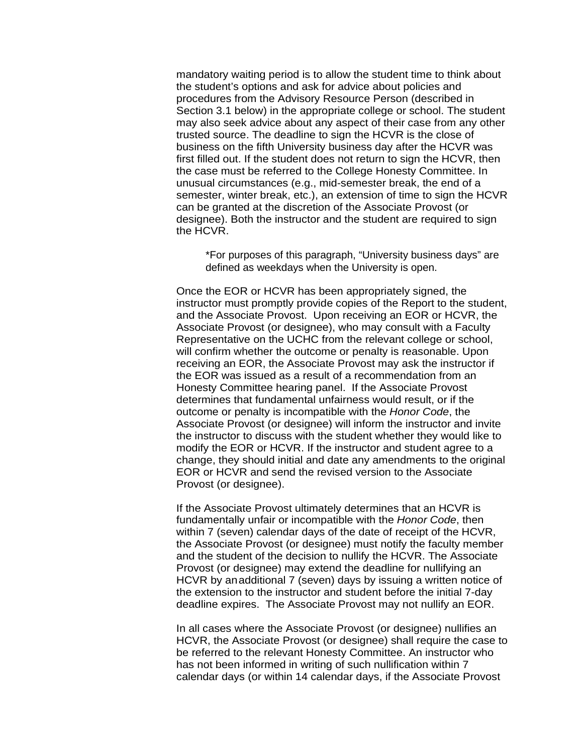mandatory waiting period is to allow the student time to think about the student's options and ask for advice about policies and procedures from the Advisory Resource Person (described in Section 3.1 below) in the appropriate college or school. The student may also seek advice about any aspect of their case from any other trusted source. The deadline to sign the HCVR is the close of business on the fifth University business day after the HCVR was first filled out. If the student does not return to sign the HCVR, then the case must be referred to the College Honesty Committee. In unusual circumstances (e.g., mid-semester break, the end of a semester, winter break, etc.), an extension of time to sign the HCVR can be granted at the discretion of the Associate Provost (or designee). Both the instructor and the student are required to sign the HCVR.

\*For purposes of this paragraph, "University business days" are defined as weekdays when the University is open.

Once the EOR or HCVR has been appropriately signed, the instructor must promptly provide copies of the Report to the student, and the Associate Provost. Upon receiving an EOR or HCVR, the Associate Provost (or designee), who may consult with a Faculty Representative on the UCHC from the relevant college or school, will confirm whether the outcome or penalty is reasonable. Upon receiving an EOR, the Associate Provost may ask the instructor if the EOR was issued as a result of a recommendation from an Honesty Committee hearing panel. If the Associate Provost determines that fundamental unfairness would result, or if the outcome or penalty is incompatible with the *Honor Code*, the Associate Provost (or designee) will inform the instructor and invite the instructor to discuss with the student whether they would like to modify the EOR or HCVR. If the instructor and student agree to a change, they should initial and date any amendments to the original EOR or HCVR and send the revised version to the Associate Provost (or designee).

If the Associate Provost ultimately determines that an HCVR is fundamentally unfair or incompatible with the *Honor Code*, then within 7 (seven) calendar days of the date of receipt of the HCVR, the Associate Provost (or designee) must notify the faculty member and the student of the decision to nullify the HCVR. The Associate Provost (or designee) may extend the deadline for nullifying an HCVR by anadditional 7 (seven) days by issuing a written notice of the extension to the instructor and student before the initial 7-day deadline expires. The Associate Provost may not nullify an EOR.

In all cases where the Associate Provost (or designee) nullifies an HCVR, the Associate Provost (or designee) shall require the case to be referred to the relevant Honesty Committee. An instructor who has not been informed in writing of such nullification within 7 calendar days (or within 14 calendar days, if the Associate Provost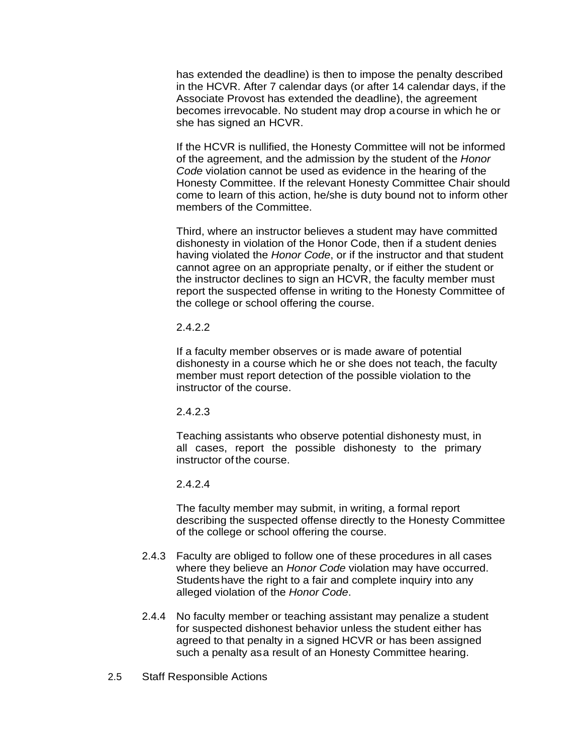has extended the deadline) is then to impose the penalty described in the HCVR. After 7 calendar days (or after 14 calendar days, if the Associate Provost has extended the deadline), the agreement becomes irrevocable. No student may drop acourse in which he or she has signed an HCVR.

If the HCVR is nullified, the Honesty Committee will not be informed of the agreement, and the admission by the student of the *Honor Code* violation cannot be used as evidence in the hearing of the Honesty Committee. If the relevant Honesty Committee Chair should come to learn of this action, he/she is duty bound not to inform other members of the Committee.

Third, where an instructor believes a student may have committed dishonesty in violation of the Honor Code, then if a student denies having violated the *Honor Code*, or if the instructor and that student cannot agree on an appropriate penalty, or if either the student or the instructor declines to sign an HCVR, the faculty member must report the suspected offense in writing to the Honesty Committee of the college or school offering the course.

#### 2.4.2.2

If a faculty member observes or is made aware of potential dishonesty in a course which he or she does not teach, the faculty member must report detection of the possible violation to the instructor of the course.

## 2.4.2.3

Teaching assistants who observe potential dishonesty must, in all cases, report the possible dishonesty to the primary instructor of the course.

## 2.4.2.4

The faculty member may submit, in writing, a formal report describing the suspected offense directly to the Honesty Committee of the college or school offering the course.

- 2.4.3 Faculty are obliged to follow one of these procedures in all cases where they believe an *Honor Code* violation may have occurred. Studentshave the right to a fair and complete inquiry into any alleged violation of the *Honor Code*.
- 2.4.4 No faculty member or teaching assistant may penalize a student for suspected dishonest behavior unless the student either has agreed to that penalty in a signed HCVR or has been assigned such a penalty asa result of an Honesty Committee hearing.
- 2.5 Staff Responsible Actions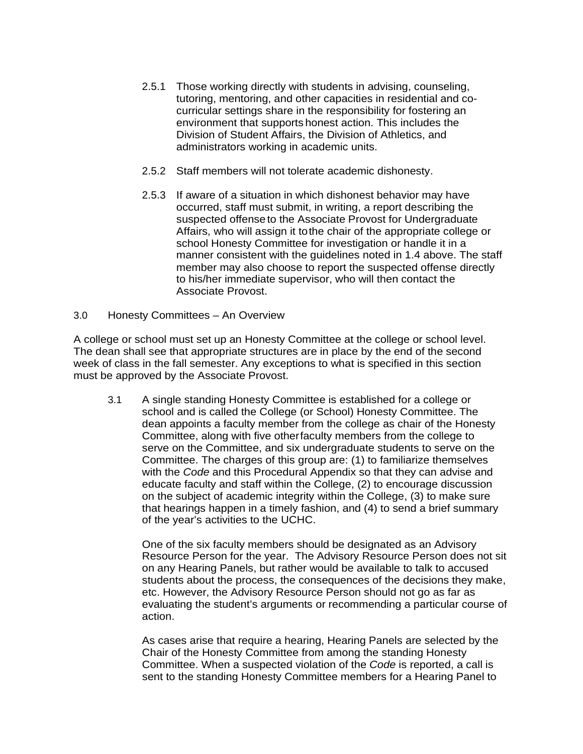- 2.5.1 Those working directly with students in advising, counseling, tutoring, mentoring, and other capacities in residential and cocurricular settings share in the responsibility for fostering an environment that supports honest action. This includes the Division of Student Affairs, the Division of Athletics, and administrators working in academic units.
- 2.5.2 Staff members will not tolerate academic dishonesty.
- 2.5.3 If aware of a situation in which dishonest behavior may have occurred, staff must submit, in writing, a report describing the suspected offense to the Associate Provost for Undergraduate Affairs, who will assign it tothe chair of the appropriate college or school Honesty Committee for investigation or handle it in a manner consistent with the guidelines noted in 1.4 above. The staff member may also choose to report the suspected offense directly to his/her immediate supervisor, who will then contact the Associate Provost.
- 3.0 Honesty Committees An Overview

A college or school must set up an Honesty Committee at the college or school level. The dean shall see that appropriate structures are in place by the end of the second week of class in the fall semester. Any exceptions to what is specified in this section must be approved by the Associate Provost.

3.1 A single standing Honesty Committee is established for a college or school and is called the College (or School) Honesty Committee. The dean appoints a faculty member from the college as chair of the Honesty Committee, along with five otherfaculty members from the college to serve on the Committee, and six undergraduate students to serve on the Committee. The charges of this group are: (1) to familiarize themselves with the *Code* and this Procedural Appendix so that they can advise and educate faculty and staff within the College, (2) to encourage discussion on the subject of academic integrity within the College, (3) to make sure that hearings happen in a timely fashion, and (4) to send a brief summary of the year's activities to the UCHC.

One of the six faculty members should be designated as an Advisory Resource Person for the year. The Advisory Resource Person does not sit on any Hearing Panels, but rather would be available to talk to accused students about the process, the consequences of the decisions they make, etc. However, the Advisory Resource Person should not go as far as evaluating the student's arguments or recommending a particular course of action.

As cases arise that require a hearing, Hearing Panels are selected by the Chair of the Honesty Committee from among the standing Honesty Committee. When a suspected violation of the *Code* is reported, a call is sent to the standing Honesty Committee members for a Hearing Panel to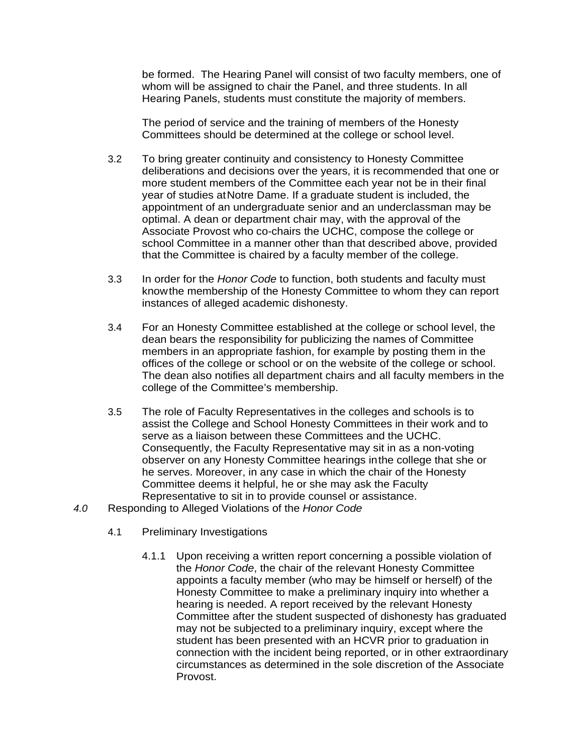be formed. The Hearing Panel will consist of two faculty members, one of whom will be assigned to chair the Panel, and three students. In all Hearing Panels, students must constitute the majority of members.

The period of service and the training of members of the Honesty Committees should be determined at the college or school level.

- 3.2 To bring greater continuity and consistency to Honesty Committee deliberations and decisions over the years, it is recommended that one or more student members of the Committee each year not be in their final year of studies atNotre Dame. If a graduate student is included, the appointment of an undergraduate senior and an underclassman may be optimal. A dean or department chair may, with the approval of the Associate Provost who co-chairs the UCHC, compose the college or school Committee in a manner other than that described above, provided that the Committee is chaired by a faculty member of the college.
- 3.3 In order for the *Honor Code* to function, both students and faculty must knowthe membership of the Honesty Committee to whom they can report instances of alleged academic dishonesty.
- 3.4 For an Honesty Committee established at the college or school level, the dean bears the responsibility for publicizing the names of Committee members in an appropriate fashion, for example by posting them in the offices of the college or school or on the website of the college or school. The dean also notifies all department chairs and all faculty members in the college of the Committee's membership.
- 3.5 The role of Faculty Representatives in the colleges and schools is to assist the College and School Honesty Committees in their work and to serve as a liaison between these Committees and the UCHC. Consequently, the Faculty Representative may sit in as a non-voting observer on any Honesty Committee hearings inthe college that she or he serves. Moreover, in any case in which the chair of the Honesty Committee deems it helpful, he or she may ask the Faculty Representative to sit in to provide counsel or assistance.
- *4.0* Responding to Alleged Violations of the *Honor Code*
	- 4.1 Preliminary Investigations
		- 4.1.1 Upon receiving a written report concerning a possible violation of the *Honor Code*, the chair of the relevant Honesty Committee appoints a faculty member (who may be himself or herself) of the Honesty Committee to make a preliminary inquiry into whether a hearing is needed. A report received by the relevant Honesty Committee after the student suspected of dishonesty has graduated may not be subjected to a preliminary inquiry, except where the student has been presented with an HCVR prior to graduation in connection with the incident being reported, or in other extraordinary circumstances as determined in the sole discretion of the Associate Provost.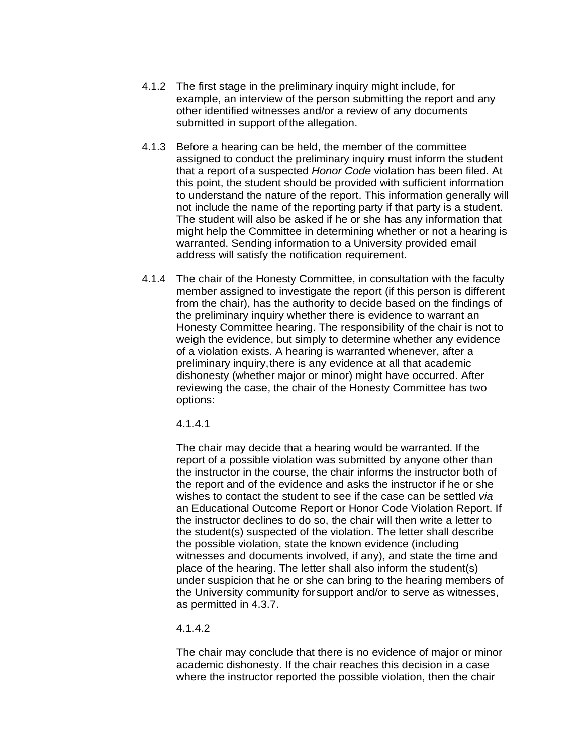- 4.1.2 The first stage in the preliminary inquiry might include, for example, an interview of the person submitting the report and any other identified witnesses and/or a review of any documents submitted in support of the allegation.
- 4.1.3 Before a hearing can be held, the member of the committee assigned to conduct the preliminary inquiry must inform the student that a report ofa suspected *Honor Code* violation has been filed. At this point, the student should be provided with sufficient information to understand the nature of the report. This information generally will not include the name of the reporting party if that party is a student. The student will also be asked if he or she has any information that might help the Committee in determining whether or not a hearing is warranted. Sending information to a University provided email address will satisfy the notification requirement.
- 4.1.4 The chair of the Honesty Committee, in consultation with the faculty member assigned to investigate the report (if this person is different from the chair), has the authority to decide based on the findings of the preliminary inquiry whether there is evidence to warrant an Honesty Committee hearing. The responsibility of the chair is not to weigh the evidence, but simply to determine whether any evidence of a violation exists. A hearing is warranted whenever, after a preliminary inquiry,there is any evidence at all that academic dishonesty (whether major or minor) might have occurred. After reviewing the case, the chair of the Honesty Committee has two options:

4.1.4.1

The chair may decide that a hearing would be warranted. If the report of a possible violation was submitted by anyone other than the instructor in the course, the chair informs the instructor both of the report and of the evidence and asks the instructor if he or she wishes to contact the student to see if the case can be settled *via*  an Educational Outcome Report or Honor Code Violation Report. If the instructor declines to do so, the chair will then write a letter to the student(s) suspected of the violation. The letter shall describe the possible violation, state the known evidence (including witnesses and documents involved, if any), and state the time and place of the hearing. The letter shall also inform the student(s) under suspicion that he or she can bring to the hearing members of the University community for support and/or to serve as witnesses, as permitted in 4.3.7.

4.1.4.2

The chair may conclude that there is no evidence of major or minor academic dishonesty. If the chair reaches this decision in a case where the instructor reported the possible violation, then the chair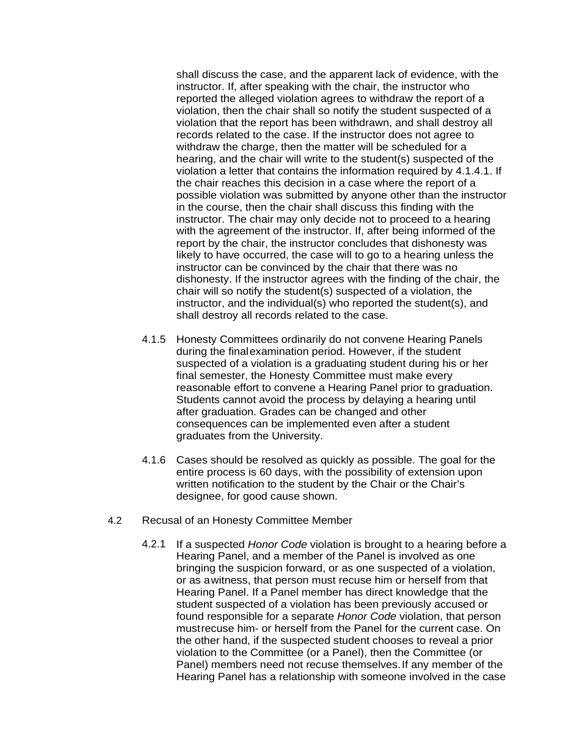shall discuss the case, and the apparent lack of evidence, with the instructor. If, after speaking with the chair, the instructor who reported the alleged violation agrees to withdraw the report of a violation, then the chair shall so notify the student suspected of a violation that the report has been withdrawn, and shall destroy all records related to the case. If the instructor does not agree to withdraw the charge, then the matter will be scheduled for a hearing, and the chair will write to the student(s) suspected of the violation a letter that contains the information required by 4.1.4.1. If the chair reaches this decision in a case where the report of a possible violation was submitted by anyone other than the instructor in the course, then the chair shall discuss this finding with the instructor. The chair may only decide not to proceed to a hearing with the agreement of the instructor. If, after being informed of the report by the chair, the instructor concludes that dishonesty was likely to have occurred, the case will to go to a hearing unless the instructor can be convinced by the chair that there was no dishonesty. If the instructor agrees with the finding of the chair, the chair will so notify the student(s) suspected of a violation, the instructor, and the individual(s) who reported the student(s), and shall destroy all records related to the case.

- 4.1.5 Honesty Committees ordinarily do not convene Hearing Panels during the finalexamination period. However, if the student suspected of a violation is a graduating student during his or her final semester, the Honesty Committee must make every reasonable effort to convene a Hearing Panel prior to graduation. Students cannot avoid the process by delaying a hearing until after graduation. Grades can be changed and other consequences can be implemented even after a student graduates from the University.
- 4.1.6 Cases should be resolved as quickly as possible. The goal for the entire process is 60 days, with the possibility of extension upon written notification to the student by the Chair or the Chair's designee, for good cause shown.
- 4.2 Recusal of an Honesty Committee Member
	- 4.2.1 If a suspected *Honor Code* violation is brought to a hearing before a Hearing Panel, and a member of the Panel is involved as one bringing the suspicion forward, or as one suspected of a violation, or as awitness, that person must recuse him or herself from that Hearing Panel. If a Panel member has direct knowledge that the student suspected of a violation has been previously accused or found responsible for a separate *Honor Code* violation, that person mustrecuse him- or herself from the Panel for the current case. On the other hand, if the suspected student chooses to reveal a prior violation to the Committee (or a Panel), then the Committee (or Panel) members need not recuse themselves.If any member of the Hearing Panel has a relationship with someone involved in the case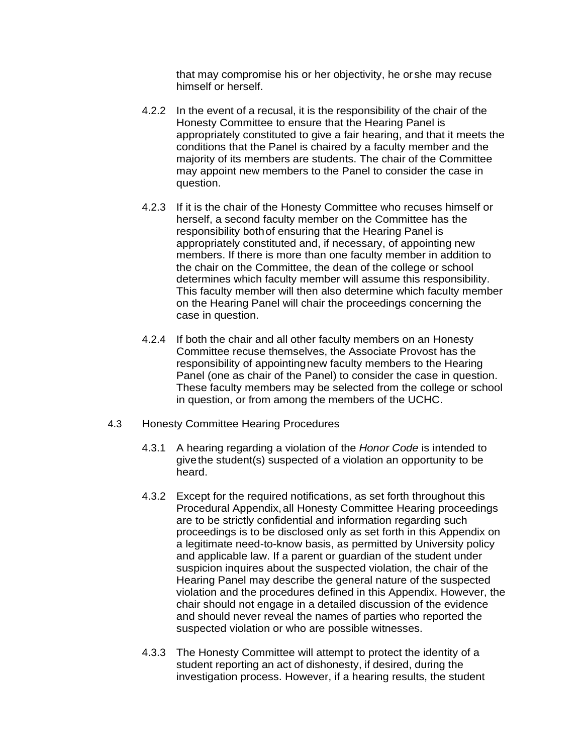that may compromise his or her objectivity, he or she may recuse himself or herself.

- 4.2.2 In the event of a recusal, it is the responsibility of the chair of the Honesty Committee to ensure that the Hearing Panel is appropriately constituted to give a fair hearing, and that it meets the conditions that the Panel is chaired by a faculty member and the majority of its members are students. The chair of the Committee may appoint new members to the Panel to consider the case in question.
- 4.2.3 If it is the chair of the Honesty Committee who recuses himself or herself, a second faculty member on the Committee has the responsibility bothof ensuring that the Hearing Panel is appropriately constituted and, if necessary, of appointing new members. If there is more than one faculty member in addition to the chair on the Committee, the dean of the college or school determines which faculty member will assume this responsibility. This faculty member will then also determine which faculty member on the Hearing Panel will chair the proceedings concerning the case in question.
- 4.2.4 If both the chair and all other faculty members on an Honesty Committee recuse themselves, the Associate Provost has the responsibility of appointingnew faculty members to the Hearing Panel (one as chair of the Panel) to consider the case in question. These faculty members may be selected from the college or school in question, or from among the members of the UCHC.
- 4.3 Honesty Committee Hearing Procedures
	- 4.3.1 A hearing regarding a violation of the *Honor Code* is intended to givethe student(s) suspected of a violation an opportunity to be heard.
	- 4.3.2 Except for the required notifications, as set forth throughout this Procedural Appendix,all Honesty Committee Hearing proceedings are to be strictly confidential and information regarding such proceedings is to be disclosed only as set forth in this Appendix on a legitimate need-to-know basis, as permitted by University policy and applicable law. If a parent or guardian of the student under suspicion inquires about the suspected violation, the chair of the Hearing Panel may describe the general nature of the suspected violation and the procedures defined in this Appendix. However, the chair should not engage in a detailed discussion of the evidence and should never reveal the names of parties who reported the suspected violation or who are possible witnesses.
	- 4.3.3 The Honesty Committee will attempt to protect the identity of a student reporting an act of dishonesty, if desired, during the investigation process. However, if a hearing results, the student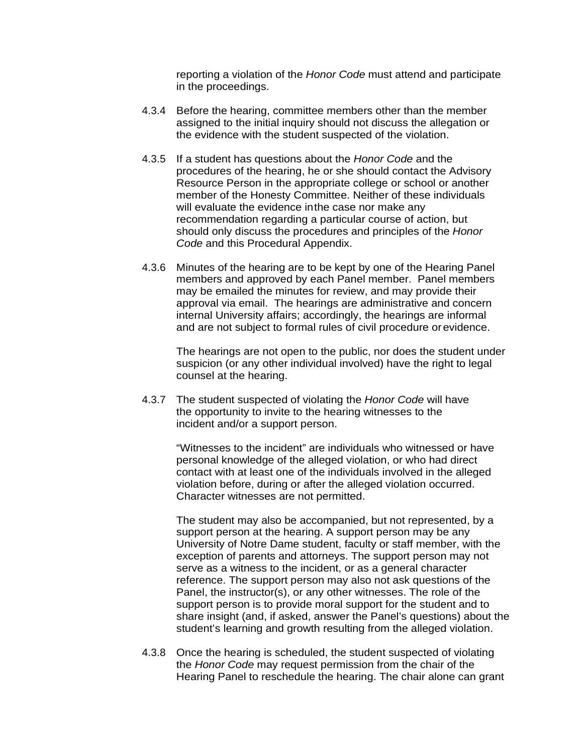reporting a violation of the *Honor Code* must attend and participate in the proceedings.

- 4.3.4 Before the hearing, committee members other than the member assigned to the initial inquiry should not discuss the allegation or the evidence with the student suspected of the violation.
- 4.3.5 If a student has questions about the *Honor Code* and the procedures of the hearing, he or she should contact the Advisory Resource Person in the appropriate college or school or another member of the Honesty Committee. Neither of these individuals will evaluate the evidence inthe case nor make any recommendation regarding a particular course of action, but should only discuss the procedures and principles of the *Honor Code* and this Procedural Appendix.
- 4.3.6 Minutes of the hearing are to be kept by one of the Hearing Panel members and approved by each Panel member. Panel members may be emailed the minutes for review, and may provide their approval via email. The hearings are administrative and concern internal University affairs; accordingly, the hearings are informal and are not subject to formal rules of civil procedure orevidence.

The hearings are not open to the public, nor does the student under suspicion (or any other individual involved) have the right to legal counsel at the hearing.

4.3.7 The student suspected of violating the *Honor Code* will have the opportunity to invite to the hearing witnesses to the incident and/or a support person.

> "Witnesses to the incident" are individuals who witnessed or have personal knowledge of the alleged violation, or who had direct contact with at least one of the individuals involved in the alleged violation before, during or after the alleged violation occurred. Character witnesses are not permitted.

The student may also be accompanied, but not represented, by a support person at the hearing. A support person may be any University of Notre Dame student, faculty or staff member, with the exception of parents and attorneys. The support person may not serve as a witness to the incident, or as a general character reference. The support person may also not ask questions of the Panel, the instructor(s), or any other witnesses. The role of the support person is to provide moral support for the student and to share insight (and, if asked, answer the Panel's questions) about the student's learning and growth resulting from the alleged violation.

4.3.8 Once the hearing is scheduled, the student suspected of violating the *Honor Code* may request permission from the chair of the Hearing Panel to reschedule the hearing. The chair alone can grant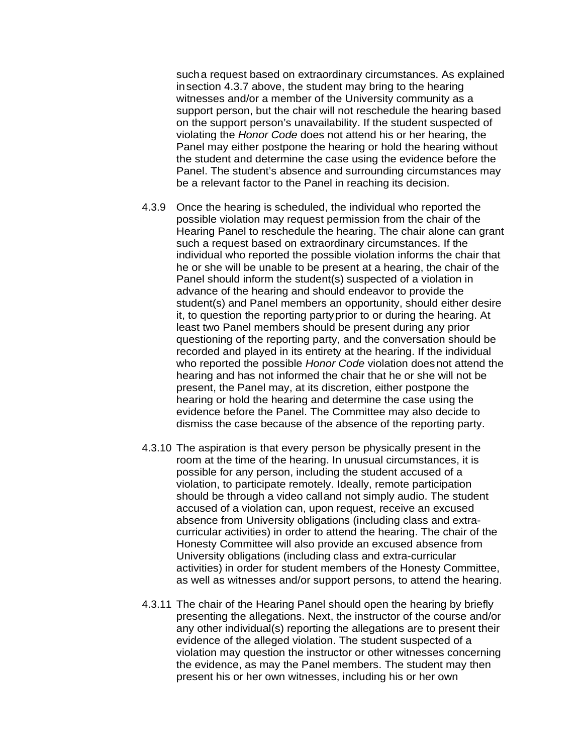sucha request based on extraordinary circumstances. As explained insection 4.3.7 above, the student may bring to the hearing witnesses and/or a member of the University community as a support person, but the chair will not reschedule the hearing based on the support person's unavailability. If the student suspected of violating the *Honor Code* does not attend his or her hearing, the Panel may either postpone the hearing or hold the hearing without the student and determine the case using the evidence before the Panel. The student's absence and surrounding circumstances may be a relevant factor to the Panel in reaching its decision.

- 4.3.9 Once the hearing is scheduled, the individual who reported the possible violation may request permission from the chair of the Hearing Panel to reschedule the hearing. The chair alone can grant such a request based on extraordinary circumstances. If the individual who reported the possible violation informs the chair that he or she will be unable to be present at a hearing, the chair of the Panel should inform the student(s) suspected of a violation in advance of the hearing and should endeavor to provide the student(s) and Panel members an opportunity, should either desire it, to question the reporting partyprior to or during the hearing. At least two Panel members should be present during any prior questioning of the reporting party, and the conversation should be recorded and played in its entirety at the hearing. If the individual who reported the possible *Honor Code* violation doesnot attend the hearing and has not informed the chair that he or she will not be present, the Panel may, at its discretion, either postpone the hearing or hold the hearing and determine the case using the evidence before the Panel. The Committee may also decide to dismiss the case because of the absence of the reporting party.
- 4.3.10 The aspiration is that every person be physically present in the room at the time of the hearing. In unusual circumstances, it is possible for any person, including the student accused of a violation, to participate remotely. Ideally, remote participation should be through a video calland not simply audio. The student accused of a violation can, upon request, receive an excused absence from University obligations (including class and extracurricular activities) in order to attend the hearing. The chair of the Honesty Committee will also provide an excused absence from University obligations (including class and extra-curricular activities) in order for student members of the Honesty Committee, as well as witnesses and/or support persons, to attend the hearing.
- 4.3.11 The chair of the Hearing Panel should open the hearing by briefly presenting the allegations. Next, the instructor of the course and/or any other individual(s) reporting the allegations are to present their evidence of the alleged violation. The student suspected of a violation may question the instructor or other witnesses concerning the evidence, as may the Panel members. The student may then present his or her own witnesses, including his or her own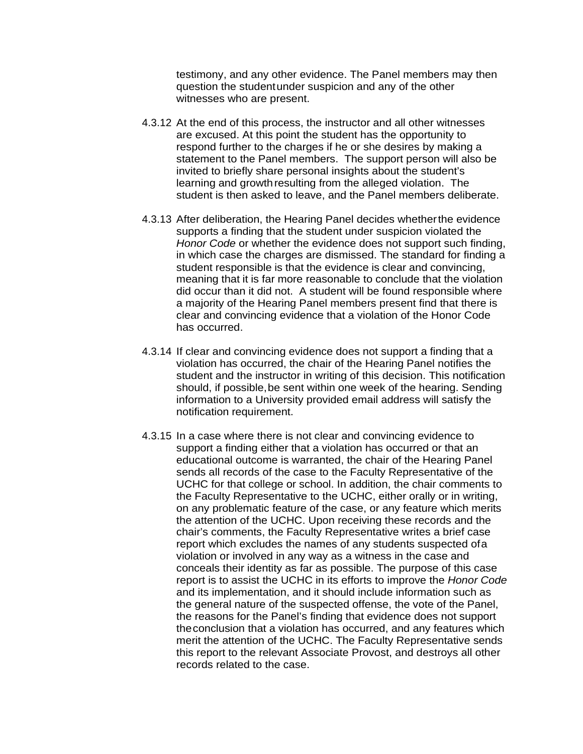testimony, and any other evidence. The Panel members may then question the studentunder suspicion and any of the other witnesses who are present.

- 4.3.12 At the end of this process, the instructor and all other witnesses are excused. At this point the student has the opportunity to respond further to the charges if he or she desires by making a statement to the Panel members. The support person will also be invited to briefly share personal insights about the student's learning and growth resulting from the alleged violation. The student is then asked to leave, and the Panel members deliberate.
- 4.3.13 After deliberation, the Hearing Panel decides whetherthe evidence supports a finding that the student under suspicion violated the *Honor Code* or whether the evidence does not support such finding, in which case the charges are dismissed. The standard for finding a student responsible is that the evidence is clear and convincing, meaning that it is far more reasonable to conclude that the violation did occur than it did not. A student will be found responsible where a majority of the Hearing Panel members present find that there is clear and convincing evidence that a violation of the Honor Code has occurred.
- 4.3.14 If clear and convincing evidence does not support a finding that a violation has occurred, the chair of the Hearing Panel notifies the student and the instructor in writing of this decision. This notification should, if possible,be sent within one week of the hearing. Sending information to a University provided email address will satisfy the notification requirement.
- 4.3.15 In a case where there is not clear and convincing evidence to support a finding either that a violation has occurred or that an educational outcome is warranted, the chair of the Hearing Panel sends all records of the case to the Faculty Representative of the UCHC for that college or school. In addition, the chair comments to the Faculty Representative to the UCHC, either orally or in writing, on any problematic feature of the case, or any feature which merits the attention of the UCHC. Upon receiving these records and the chair's comments, the Faculty Representative writes a brief case report which excludes the names of any students suspected ofa violation or involved in any way as a witness in the case and conceals their identity as far as possible. The purpose of this case report is to assist the UCHC in its efforts to improve the *Honor Code*  and its implementation, and it should include information such as the general nature of the suspected offense, the vote of the Panel, the reasons for the Panel's finding that evidence does not support theconclusion that a violation has occurred, and any features which merit the attention of the UCHC. The Faculty Representative sends this report to the relevant Associate Provost, and destroys all other records related to the case.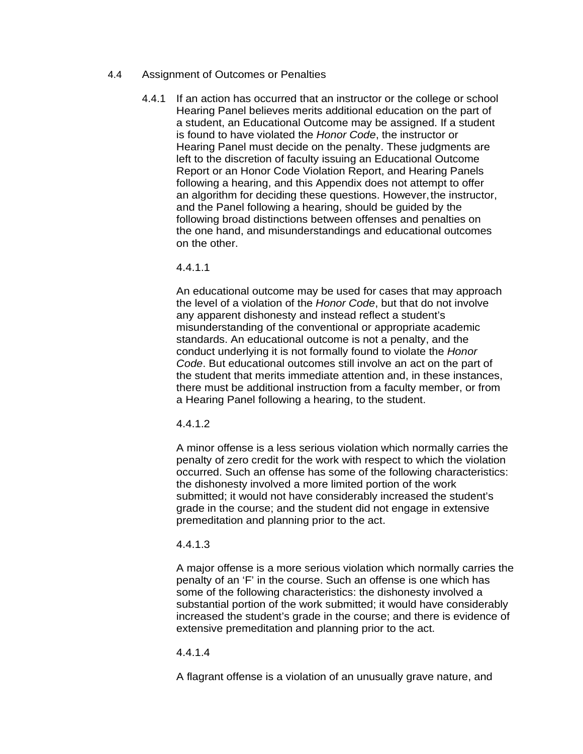- 4.4 Assignment of Outcomes or Penalties
	- 4.4.1 If an action has occurred that an instructor or the college or school Hearing Panel believes merits additional education on the part of a student, an Educational Outcome may be assigned. If a student is found to have violated the *Honor Code*, the instructor or Hearing Panel must decide on the penalty. These judgments are left to the discretion of faculty issuing an Educational Outcome Report or an Honor Code Violation Report, and Hearing Panels following a hearing, and this Appendix does not attempt to offer an algorithm for deciding these questions. However,the instructor, and the Panel following a hearing, should be guided by the following broad distinctions between offenses and penalties on the one hand, and misunderstandings and educational outcomes on the other.

4.4.1.1

An educational outcome may be used for cases that may approach the level of a violation of the *Honor Code*, but that do not involve any apparent dishonesty and instead reflect a student's misunderstanding of the conventional or appropriate academic standards. An educational outcome is not a penalty, and the conduct underlying it is not formally found to violate the *Honor Code*. But educational outcomes still involve an act on the part of the student that merits immediate attention and, in these instances, there must be additional instruction from a faculty member, or from a Hearing Panel following a hearing, to the student.

4.4.1.2

A minor offense is a less serious violation which normally carries the penalty of zero credit for the work with respect to which the violation occurred. Such an offense has some of the following characteristics: the dishonesty involved a more limited portion of the work submitted; it would not have considerably increased the student's grade in the course; and the student did not engage in extensive premeditation and planning prior to the act.

#### 4.4.1.3

A major offense is a more serious violation which normally carries the penalty of an 'F' in the course. Such an offense is one which has some of the following characteristics: the dishonesty involved a substantial portion of the work submitted; it would have considerably increased the student's grade in the course; and there is evidence of extensive premeditation and planning prior to the act.

#### 4.4.1.4

A flagrant offense is a violation of an unusually grave nature, and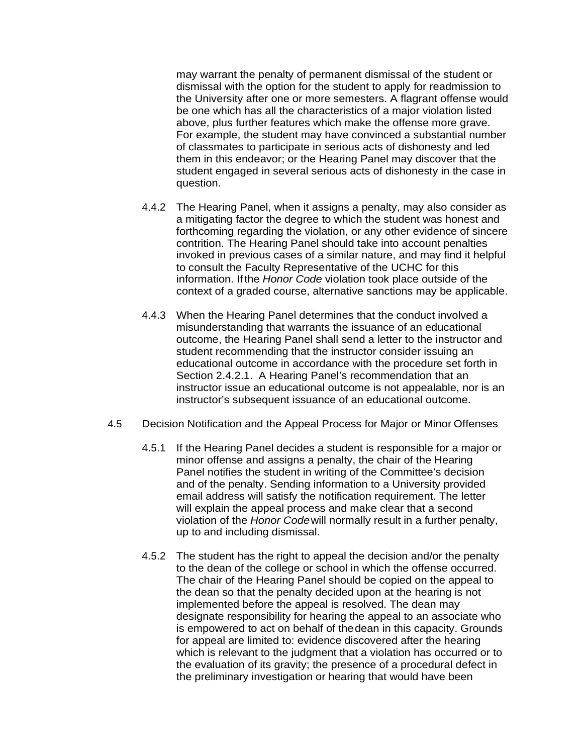may warrant the penalty of permanent dismissal of the student or dismissal with the option for the student to apply for readmission to the University after one or more semesters. A flagrant offense would be one which has all the characteristics of a major violation listed above, plus further features which make the offense more grave. For example, the student may have convinced a substantial number of classmates to participate in serious acts of dishonesty and led them in this endeavor; or the Hearing Panel may discover that the student engaged in several serious acts of dishonesty in the case in question.

- 4.4.2 The Hearing Panel, when it assigns a penalty, may also consider as a mitigating factor the degree to which the student was honest and forthcoming regarding the violation, or any other evidence of sincere contrition. The Hearing Panel should take into account penalties invoked in previous cases of a similar nature, and may find it helpful to consult the Faculty Representative of the UCHC for this information. Ifthe *Honor Code* violation took place outside of the context of a graded course, alternative sanctions may be applicable.
- 4.4.3 When the Hearing Panel determines that the conduct involved a misunderstanding that warrants the issuance of an educational outcome, the Hearing Panel shall send a letter to the instructor and student recommending that the instructor consider issuing an educational outcome in accordance with the procedure set forth in Section 2.4.2.1. A Hearing Panel's recommendation that an instructor issue an educational outcome is not appealable, nor is an instructor's subsequent issuance of an educational outcome.
- 4.5 Decision Notification and the Appeal Process for Major or Minor Offenses
	- 4.5.1 If the Hearing Panel decides a student is responsible for a major or minor offense and assigns a penalty, the chair of the Hearing Panel notifies the student in writing of the Committee's decision and of the penalty. Sending information to a University provided email address will satisfy the notification requirement. The letter will explain the appeal process and make clear that a second violation of the *Honor Code*will normally result in a further penalty, up to and including dismissal.
	- 4.5.2 The student has the right to appeal the decision and/or the penalty to the dean of the college or school in which the offense occurred. The chair of the Hearing Panel should be copied on the appeal to the dean so that the penalty decided upon at the hearing is not implemented before the appeal is resolved. The dean may designate responsibility for hearing the appeal to an associate who is empowered to act on behalf of thedean in this capacity. Grounds for appeal are limited to: evidence discovered after the hearing which is relevant to the judgment that a violation has occurred or to the evaluation of its gravity; the presence of a procedural defect in the preliminary investigation or hearing that would have been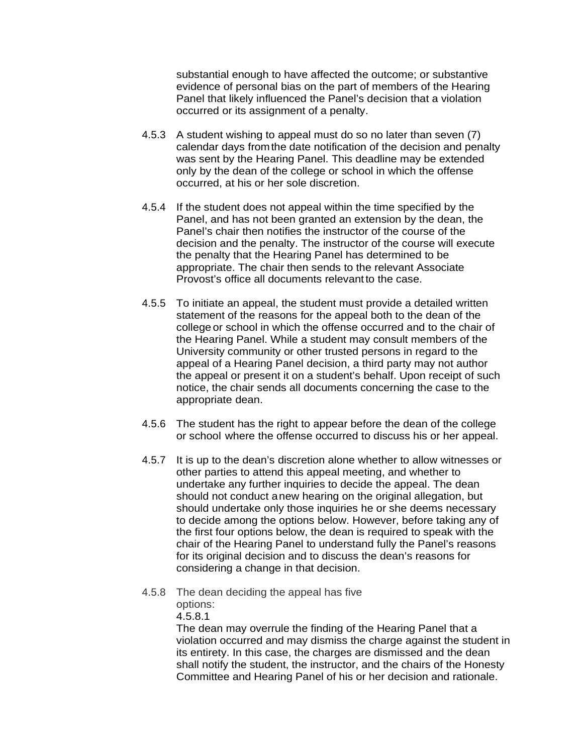substantial enough to have affected the outcome; or substantive evidence of personal bias on the part of members of the Hearing Panel that likely influenced the Panel's decision that a violation occurred or its assignment of a penalty.

- 4.5.3 A student wishing to appeal must do so no later than seven (7) calendar days fromthe date notification of the decision and penalty was sent by the Hearing Panel. This deadline may be extended only by the dean of the college or school in which the offense occurred, at his or her sole discretion.
- 4.5.4 If the student does not appeal within the time specified by the Panel, and has not been granted an extension by the dean, the Panel's chair then notifies the instructor of the course of the decision and the penalty. The instructor of the course will execute the penalty that the Hearing Panel has determined to be appropriate. The chair then sends to the relevant Associate Provost's office all documents relevant to the case.
- 4.5.5 To initiate an appeal, the student must provide a detailed written statement of the reasons for the appeal both to the dean of the college or school in which the offense occurred and to the chair of the Hearing Panel. While a student may consult members of the University community or other trusted persons in regard to the appeal of a Hearing Panel decision, a third party may not author the appeal or present it on a student's behalf. Upon receipt of such notice, the chair sends all documents concerning the case to the appropriate dean.
- 4.5.6 The student has the right to appear before the dean of the college or school where the offense occurred to discuss his or her appeal.
- 4.5.7 It is up to the dean's discretion alone whether to allow witnesses or other parties to attend this appeal meeting, and whether to undertake any further inquiries to decide the appeal. The dean should not conduct anew hearing on the original allegation, but should undertake only those inquiries he or she deems necessary to decide among the options below. However, before taking any of the first four options below, the dean is required to speak with the chair of the Hearing Panel to understand fully the Panel's reasons for its original decision and to discuss the dean's reasons for considering a change in that decision.
- 4.5.8 The dean deciding the appeal has five options: 4.5.8.1

The dean may overrule the finding of the Hearing Panel that a violation occurred and may dismiss the charge against the student in its entirety. In this case, the charges are dismissed and the dean shall notify the student, the instructor, and the chairs of the Honesty Committee and Hearing Panel of his or her decision and rationale.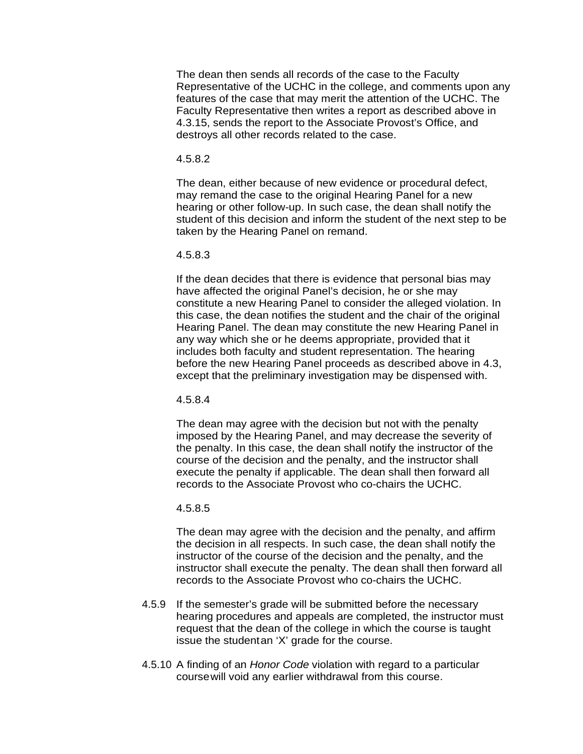The dean then sends all records of the case to the Faculty Representative of the UCHC in the college, and comments upon any features of the case that may merit the attention of the UCHC. The Faculty Representative then writes a report as described above in 4.3.15, sends the report to the Associate Provost's Office, and destroys all other records related to the case.

## 4.5.8.2

The dean, either because of new evidence or procedural defect, may remand the case to the original Hearing Panel for a new hearing or other follow-up. In such case, the dean shall notify the student of this decision and inform the student of the next step to be taken by the Hearing Panel on remand.

## 4.5.8.3

If the dean decides that there is evidence that personal bias may have affected the original Panel's decision, he or she may constitute a new Hearing Panel to consider the alleged violation. In this case, the dean notifies the student and the chair of the original Hearing Panel. The dean may constitute the new Hearing Panel in any way which she or he deems appropriate, provided that it includes both faculty and student representation. The hearing before the new Hearing Panel proceeds as described above in 4.3, except that the preliminary investigation may be dispensed with.

## 4.5.8.4

The dean may agree with the decision but not with the penalty imposed by the Hearing Panel, and may decrease the severity of the penalty. In this case, the dean shall notify the instructor of the course of the decision and the penalty, and the instructor shall execute the penalty if applicable. The dean shall then forward all records to the Associate Provost who co-chairs the UCHC.

## 4.5.8.5

The dean may agree with the decision and the penalty, and affirm the decision in all respects. In such case, the dean shall notify the instructor of the course of the decision and the penalty, and the instructor shall execute the penalty. The dean shall then forward all records to the Associate Provost who co-chairs the UCHC.

- 4.5.9 If the semester's grade will be submitted before the necessary hearing procedures and appeals are completed, the instructor must request that the dean of the college in which the course is taught issue the studentan 'X' grade for the course.
- 4.5.10 A finding of an *Honor Code* violation with regard to a particular coursewill void any earlier withdrawal from this course.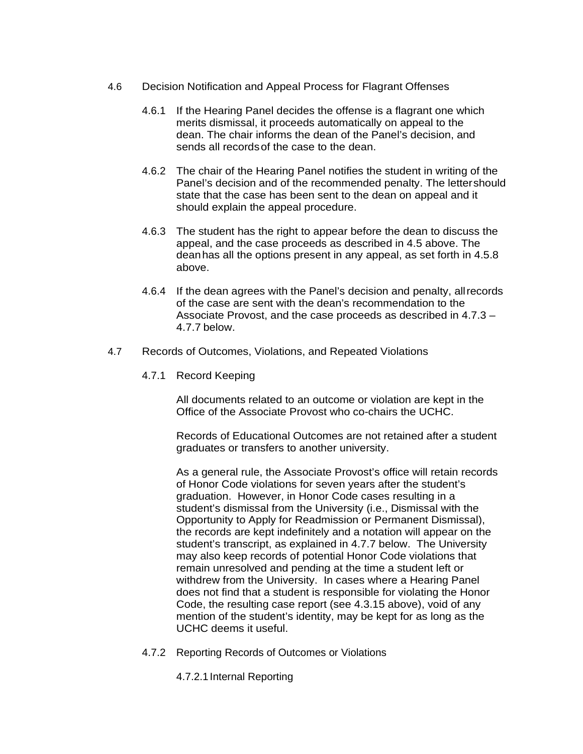- 4.6 Decision Notification and Appeal Process for Flagrant Offenses
	- 4.6.1 If the Hearing Panel decides the offense is a flagrant one which merits dismissal, it proceeds automatically on appeal to the dean. The chair informs the dean of the Panel's decision, and sends all recordsof the case to the dean.
	- 4.6.2 The chair of the Hearing Panel notifies the student in writing of the Panel's decision and of the recommended penalty. The lettershould state that the case has been sent to the dean on appeal and it should explain the appeal procedure.
	- 4.6.3 The student has the right to appear before the dean to discuss the appeal, and the case proceeds as described in 4.5 above. The deanhas all the options present in any appeal, as set forth in 4.5.8 above.
	- 4.6.4 If the dean agrees with the Panel's decision and penalty, allrecords of the case are sent with the dean's recommendation to the Associate Provost, and the case proceeds as described in 4.7.3 – 4.7.7 below.
- 4.7 Records of Outcomes, Violations, and Repeated Violations
	- 4.7.1 Record Keeping

All documents related to an outcome or violation are kept in the Office of the Associate Provost who co-chairs the UCHC.

Records of Educational Outcomes are not retained after a student graduates or transfers to another university.

As a general rule, the Associate Provost's office will retain records of Honor Code violations for seven years after the student's graduation. However, in Honor Code cases resulting in a student's dismissal from the University (i.e., Dismissal with the Opportunity to Apply for Readmission or Permanent Dismissal), the records are kept indefinitely and a notation will appear on the student's transcript, as explained in 4.7.7 below. The University may also keep records of potential Honor Code violations that remain unresolved and pending at the time a student left or withdrew from the University. In cases where a Hearing Panel does not find that a student is responsible for violating the Honor Code, the resulting case report (see 4.3.15 above), void of any mention of the student's identity, may be kept for as long as the UCHC deems it useful.

- 4.7.2 Reporting Records of Outcomes or Violations
	- 4.7.2.1Internal Reporting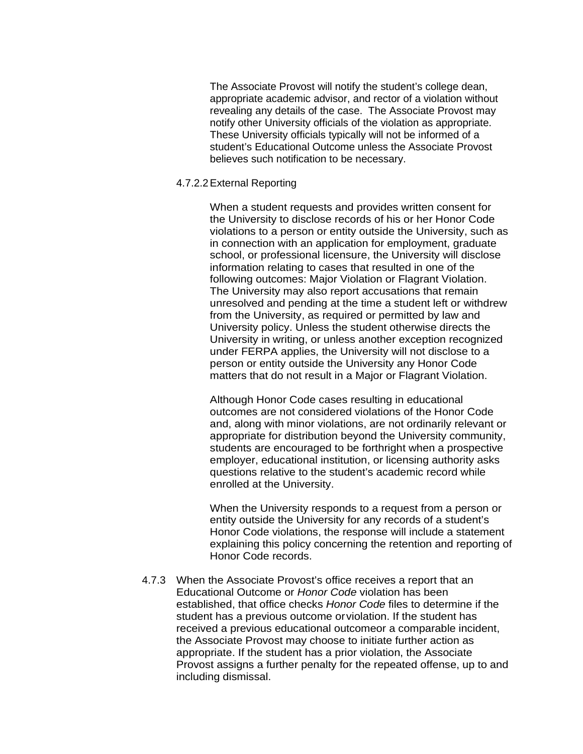The Associate Provost will notify the student's college dean, appropriate academic advisor, and rector of a violation without revealing any details of the case. The Associate Provost may notify other University officials of the violation as appropriate. These University officials typically will not be informed of a student's Educational Outcome unless the Associate Provost believes such notification to be necessary.

## 4.7.2.2External Reporting

When a student requests and provides written consent for the University to disclose records of his or her Honor Code violations to a person or entity outside the University, such as in connection with an application for employment, graduate school, or professional licensure, the University will disclose information relating to cases that resulted in one of the following outcomes: Major Violation or Flagrant Violation. The University may also report accusations that remain unresolved and pending at the time a student left or withdrew from the University, as required or permitted by law and University policy. Unless the student otherwise directs the University in writing, or unless another exception recognized under FERPA applies, the University will not disclose to a person or entity outside the University any Honor Code matters that do not result in a Major or Flagrant Violation.

Although Honor Code cases resulting in educational outcomes are not considered violations of the Honor Code and, along with minor violations, are not ordinarily relevant or appropriate for distribution beyond the University community, students are encouraged to be forthright when a prospective employer, educational institution, or licensing authority asks questions relative to the student's academic record while enrolled at the University.

When the University responds to a request from a person or entity outside the University for any records of a student's Honor Code violations, the response will include a statement explaining this policy concerning the retention and reporting of Honor Code records.

4.7.3 When the Associate Provost's office receives a report that an Educational Outcome or *Honor Code* violation has been established, that office checks *Honor Code* files to determine if the student has a previous outcome orviolation. If the student has received a previous educational outcomeor a comparable incident, the Associate Provost may choose to initiate further action as appropriate. If the student has a prior violation, the Associate Provost assigns a further penalty for the repeated offense, up to and including dismissal.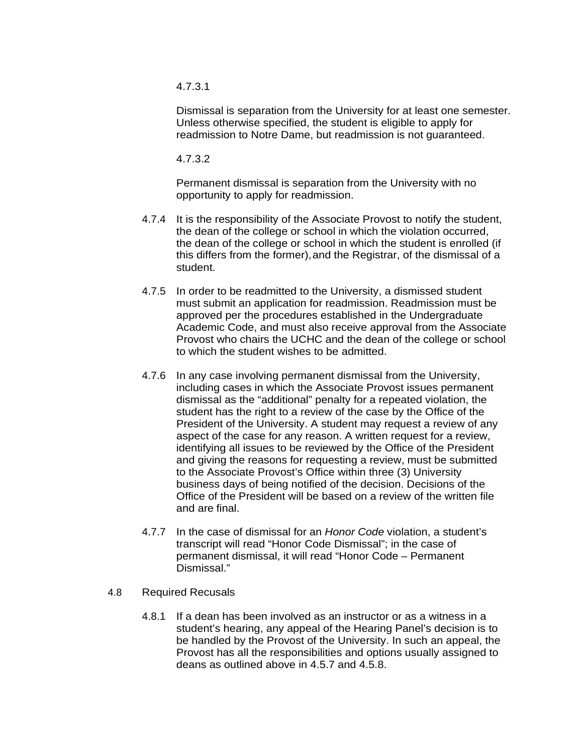4.7.3.1

Dismissal is separation from the University for at least one semester. Unless otherwise specified, the student is eligible to apply for readmission to Notre Dame, but readmission is not guaranteed.

4.7.3.2

Permanent dismissal is separation from the University with no opportunity to apply for readmission.

- 4.7.4 It is the responsibility of the Associate Provost to notify the student, the dean of the college or school in which the violation occurred, the dean of the college or school in which the student is enrolled (if this differs from the former),and the Registrar, of the dismissal of a student.
- 4.7.5 In order to be readmitted to the University, a dismissed student must submit an application for readmission. Readmission must be approved per the procedures established in the Undergraduate Academic Code, and must also receive approval from the Associate Provost who chairs the UCHC and the dean of the college or school to which the student wishes to be admitted.
- 4.7.6 In any case involving permanent dismissal from the University, including cases in which the Associate Provost issues permanent dismissal as the "additional" penalty for a repeated violation, the student has the right to a review of the case by the Office of the President of the University. A student may request a review of any aspect of the case for any reason. A written request for a review, identifying all issues to be reviewed by the Office of the President and giving the reasons for requesting a review, must be submitted to the Associate Provost's Office within three (3) University business days of being notified of the decision. Decisions of the Office of the President will be based on a review of the written file and are final.
- 4.7.7 In the case of dismissal for an *Honor Code* violation, a student's transcript will read "Honor Code Dismissal"; in the case of permanent dismissal, it will read "Honor Code – Permanent Dismissal."
- 4.8 Required Recusals
	- 4.8.1 If a dean has been involved as an instructor or as a witness in a student's hearing, any appeal of the Hearing Panel's decision is to be handled by the Provost of the University. In such an appeal, the Provost has all the responsibilities and options usually assigned to deans as outlined above in 4.5.7 and 4.5.8.